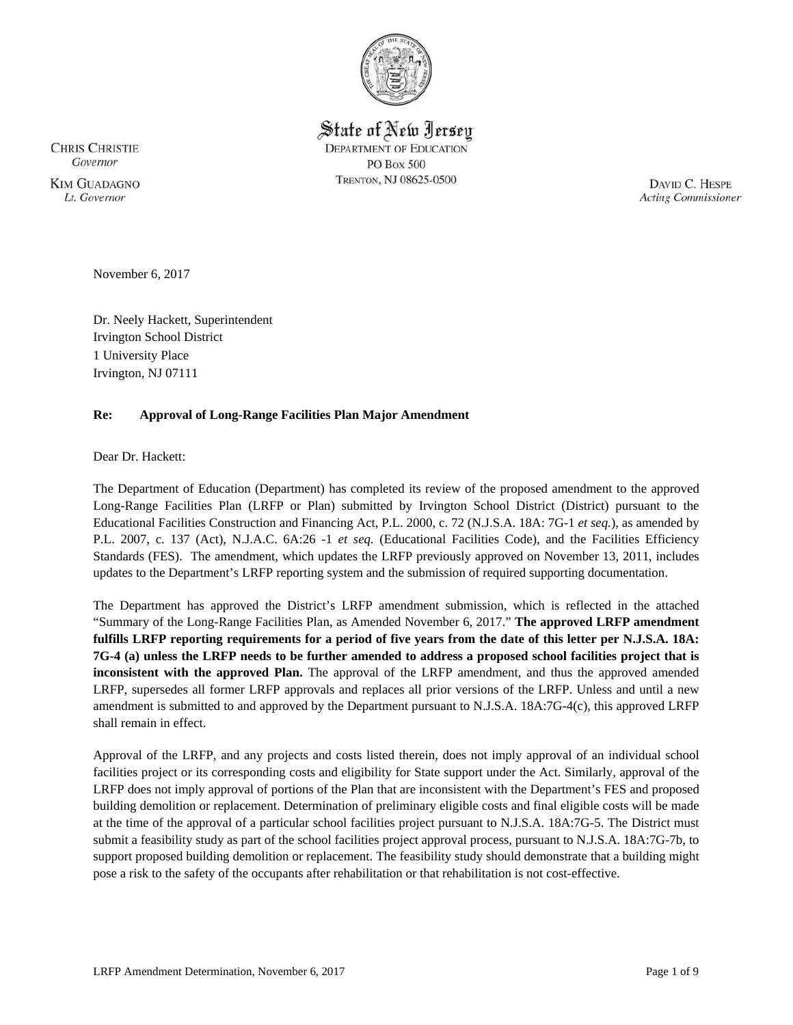

State of New Jersey **DEPARTMENT OF EDUCATION PO Box 500** TRENTON, NJ 08625-0500

**CHRIS CHRISTIE** Governor **KIM GUADAGNO** Lt. Governor

DAVID C. HESPE **Acting Commissioner** 

November 6, 2017

Dr. Neely Hackett, Superintendent Irvington School District 1 University Place Irvington, NJ 07111

### **Re: Approval of Long-Range Facilities Plan Major Amendment**

Dear Dr. Hackett:

The Department of Education (Department) has completed its review of the proposed amendment to the approved Long-Range Facilities Plan (LRFP or Plan) submitted by Irvington School District (District) pursuant to the Educational Facilities Construction and Financing Act, P.L. 2000, c. 72 (N.J.S.A. 18A: 7G-1 *et seq.*), as amended by P.L. 2007, c. 137 (Act), N.J.A.C. 6A:26 -1 *et seq.* (Educational Facilities Code), and the Facilities Efficiency Standards (FES). The amendment, which updates the LRFP previously approved on November 13, 2011, includes updates to the Department's LRFP reporting system and the submission of required supporting documentation.

The Department has approved the District's LRFP amendment submission, which is reflected in the attached "Summary of the Long-Range Facilities Plan, as Amended November 6, 2017." **The approved LRFP amendment fulfills LRFP reporting requirements for a period of five years from the date of this letter per N.J.S.A. 18A: 7G-4 (a) unless the LRFP needs to be further amended to address a proposed school facilities project that is inconsistent with the approved Plan.** The approval of the LRFP amendment, and thus the approved amended LRFP, supersedes all former LRFP approvals and replaces all prior versions of the LRFP. Unless and until a new amendment is submitted to and approved by the Department pursuant to N.J.S.A. 18A:7G-4(c), this approved LRFP shall remain in effect.

Approval of the LRFP, and any projects and costs listed therein, does not imply approval of an individual school facilities project or its corresponding costs and eligibility for State support under the Act. Similarly, approval of the LRFP does not imply approval of portions of the Plan that are inconsistent with the Department's FES and proposed building demolition or replacement. Determination of preliminary eligible costs and final eligible costs will be made at the time of the approval of a particular school facilities project pursuant to N.J.S.A. 18A:7G-5. The District must submit a feasibility study as part of the school facilities project approval process, pursuant to N.J.S.A. 18A:7G-7b, to support proposed building demolition or replacement. The feasibility study should demonstrate that a building might pose a risk to the safety of the occupants after rehabilitation or that rehabilitation is not cost-effective.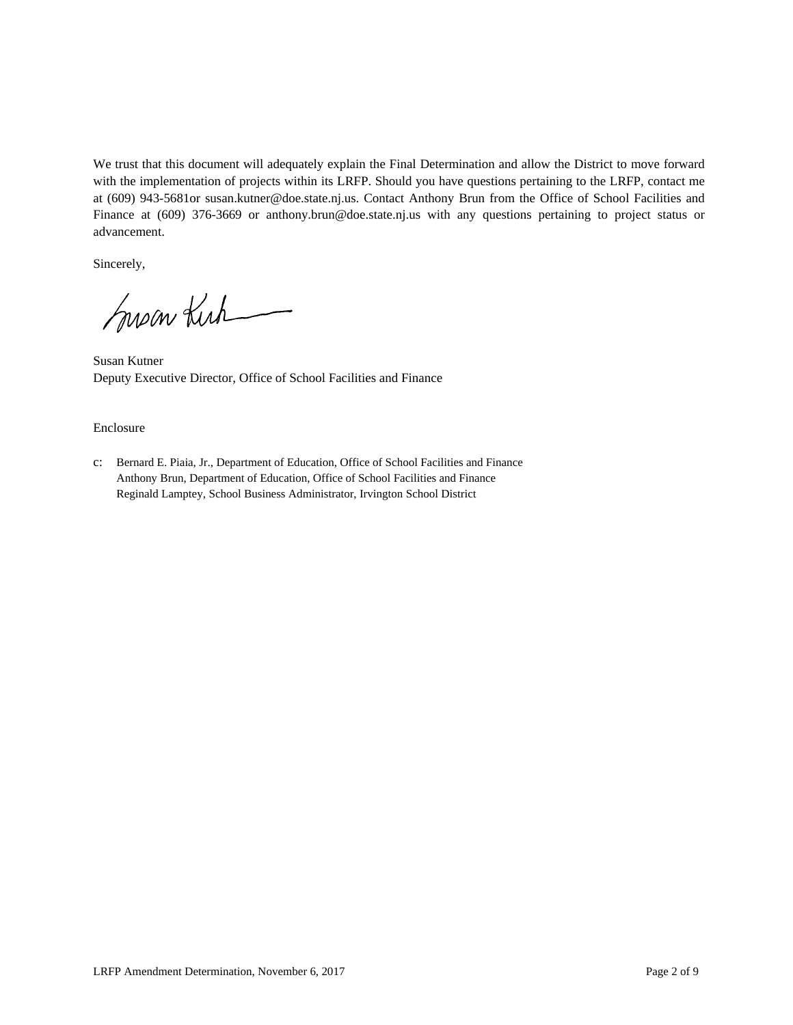We trust that this document will adequately explain the Final Determination and allow the District to move forward with the implementation of projects within its LRFP. Should you have questions pertaining to the LRFP, contact me at (609) 943-5681or susan.kutner@doe.state.nj.us. Contact Anthony Brun from the Office of School Facilities and Finance at (609) 376-3669 or anthony.brun@doe.state.nj.us with any questions pertaining to project status or advancement.

Sincerely,

Susan Kirk

Susan Kutner Deputy Executive Director, Office of School Facilities and Finance

# Enclosure

c: Bernard E. Piaia, Jr., Department of Education, Office of School Facilities and Finance Anthony Brun, Department of Education, Office of School Facilities and Finance Reginald Lamptey, School Business Administrator, Irvington School District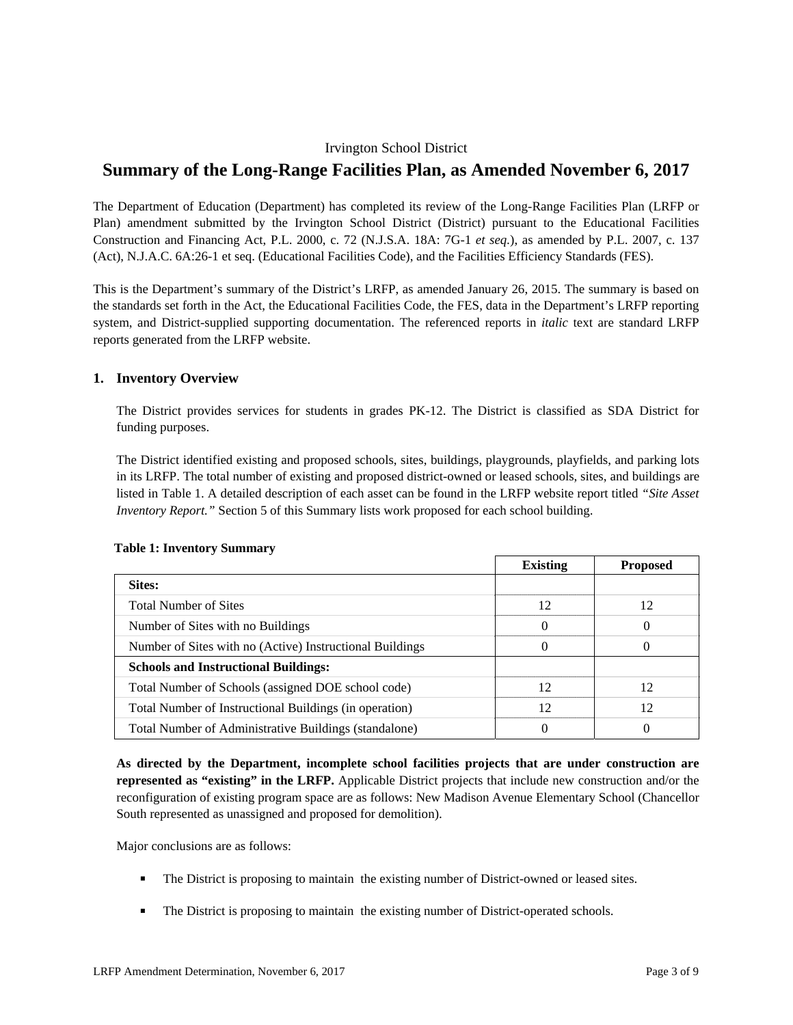# Irvington School District

# **Summary of the Long-Range Facilities Plan, as Amended November 6, 2017**

The Department of Education (Department) has completed its review of the Long-Range Facilities Plan (LRFP or Plan) amendment submitted by the Irvington School District (District) pursuant to the Educational Facilities Construction and Financing Act, P.L. 2000, c. 72 (N.J.S.A. 18A: 7G-1 *et seq.*), as amended by P.L. 2007, c. 137 (Act), N.J.A.C. 6A:26-1 et seq. (Educational Facilities Code), and the Facilities Efficiency Standards (FES).

This is the Department's summary of the District's LRFP, as amended January 26, 2015. The summary is based on the standards set forth in the Act, the Educational Facilities Code, the FES, data in the Department's LRFP reporting system, and District-supplied supporting documentation. The referenced reports in *italic* text are standard LRFP reports generated from the LRFP website.

### **1. Inventory Overview**

The District provides services for students in grades PK-12. The District is classified as SDA District for funding purposes.

The District identified existing and proposed schools, sites, buildings, playgrounds, playfields, and parking lots in its LRFP. The total number of existing and proposed district-owned or leased schools, sites, and buildings are listed in Table 1. A detailed description of each asset can be found in the LRFP website report titled *"Site Asset Inventory Report."* Section 5 of this Summary lists work proposed for each school building.

|                                                          | <b>Existing</b> | <b>Proposed</b> |
|----------------------------------------------------------|-----------------|-----------------|
| <b>Sites:</b>                                            |                 |                 |
| <b>Total Number of Sites</b>                             | 12              | 12              |
| Number of Sites with no Buildings                        | $\theta$        | $\Omega$        |
| Number of Sites with no (Active) Instructional Buildings | $\theta$        | $\Omega$        |
| <b>Schools and Instructional Buildings:</b>              |                 |                 |
| Total Number of Schools (assigned DOE school code)       | 12              | 12              |
| Total Number of Instructional Buildings (in operation)   | 12              | 12              |
| Total Number of Administrative Buildings (standalone)    | 0               | 0               |

### **Table 1: Inventory Summary**

**As directed by the Department, incomplete school facilities projects that are under construction are represented as "existing" in the LRFP.** Applicable District projects that include new construction and/or the reconfiguration of existing program space are as follows: New Madison Avenue Elementary School (Chancellor South represented as unassigned and proposed for demolition).

Major conclusions are as follows:

- The District is proposing to maintain the existing number of District-owned or leased sites.
- **The District is proposing to maintain the existing number of District-operated schools.**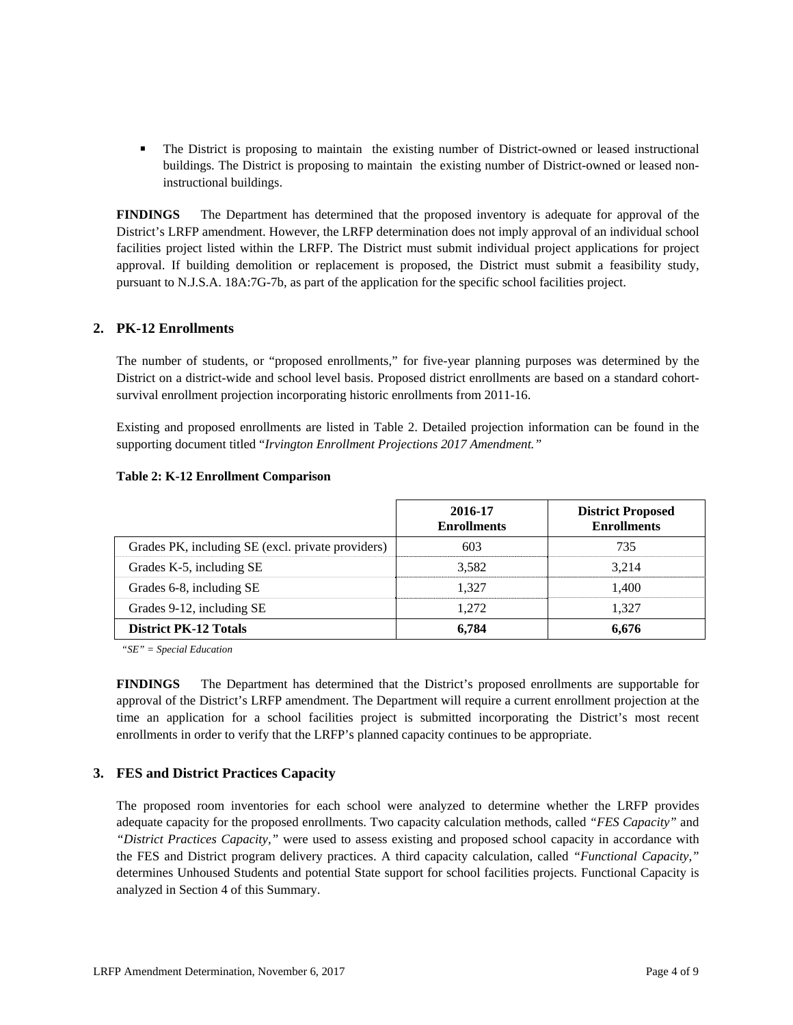The District is proposing to maintain the existing number of District-owned or leased instructional buildings. The District is proposing to maintain the existing number of District-owned or leased noninstructional buildings.

**FINDINGS** The Department has determined that the proposed inventory is adequate for approval of the District's LRFP amendment. However, the LRFP determination does not imply approval of an individual school facilities project listed within the LRFP. The District must submit individual project applications for project approval. If building demolition or replacement is proposed, the District must submit a feasibility study, pursuant to N.J.S.A. 18A:7G-7b, as part of the application for the specific school facilities project.

# **2. PK-12 Enrollments**

The number of students, or "proposed enrollments," for five-year planning purposes was determined by the District on a district-wide and school level basis. Proposed district enrollments are based on a standard cohortsurvival enrollment projection incorporating historic enrollments from 2011-16.

Existing and proposed enrollments are listed in Table 2. Detailed projection information can be found in the supporting document titled "*Irvington Enrollment Projections 2017 Amendment."*

|                                                   | 2016-17<br><b>Enrollments</b> | <b>District Proposed</b><br><b>Enrollments</b> |
|---------------------------------------------------|-------------------------------|------------------------------------------------|
| Grades PK, including SE (excl. private providers) | 603                           | 735                                            |
| Grades K-5, including SE                          | 3.582                         | 3.214                                          |
| Grades 6-8, including SE                          | 1.327                         | 1.400                                          |
| Grades 9-12, including SE                         | 1.272                         | 1.327                                          |
| <b>District PK-12 Totals</b>                      | 6.784                         | 6,676                                          |

#### **Table 2: K-12 Enrollment Comparison**

*"SE" = Special Education* 

**FINDINGS** The Department has determined that the District's proposed enrollments are supportable for approval of the District's LRFP amendment. The Department will require a current enrollment projection at the time an application for a school facilities project is submitted incorporating the District's most recent enrollments in order to verify that the LRFP's planned capacity continues to be appropriate.

# **3. FES and District Practices Capacity**

The proposed room inventories for each school were analyzed to determine whether the LRFP provides adequate capacity for the proposed enrollments. Two capacity calculation methods, called *"FES Capacity"* and *"District Practices Capacity,"* were used to assess existing and proposed school capacity in accordance with the FES and District program delivery practices. A third capacity calculation, called *"Functional Capacity,"* determines Unhoused Students and potential State support for school facilities projects. Functional Capacity is analyzed in Section 4 of this Summary.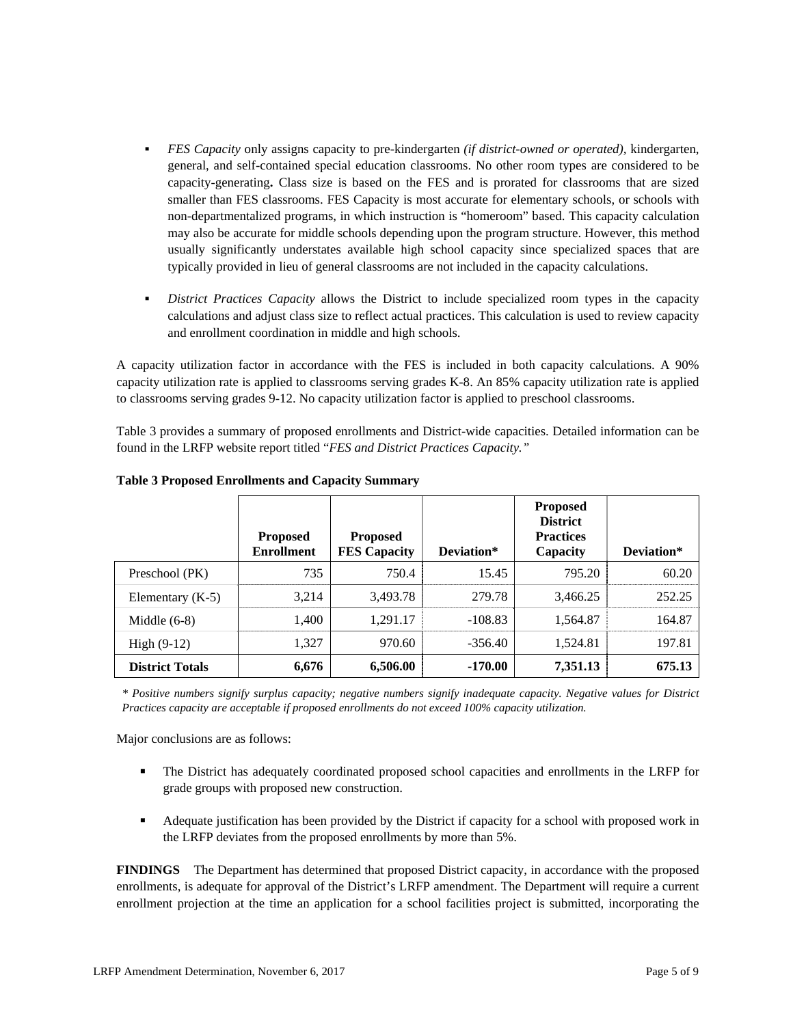- *FES Capacity* only assigns capacity to pre-kindergarten *(if district-owned or operated),* kindergarten, general, and self-contained special education classrooms. No other room types are considered to be capacity-generating**.** Class size is based on the FES and is prorated for classrooms that are sized smaller than FES classrooms. FES Capacity is most accurate for elementary schools, or schools with non-departmentalized programs, in which instruction is "homeroom" based. This capacity calculation may also be accurate for middle schools depending upon the program structure. However, this method usually significantly understates available high school capacity since specialized spaces that are typically provided in lieu of general classrooms are not included in the capacity calculations.
- *District Practices Capacity* allows the District to include specialized room types in the capacity calculations and adjust class size to reflect actual practices. This calculation is used to review capacity and enrollment coordination in middle and high schools.

A capacity utilization factor in accordance with the FES is included in both capacity calculations. A 90% capacity utilization rate is applied to classrooms serving grades K-8. An 85% capacity utilization rate is applied to classrooms serving grades 9-12. No capacity utilization factor is applied to preschool classrooms.

Table 3 provides a summary of proposed enrollments and District-wide capacities. Detailed information can be found in the LRFP website report titled "*FES and District Practices Capacity."*

|                        | <b>Proposed</b><br><b>Enrollment</b> | <b>Proposed</b><br><b>FES Capacity</b> | Deviation* | <b>Proposed</b><br><b>District</b><br><b>Practices</b><br>Capacity | Deviation* |
|------------------------|--------------------------------------|----------------------------------------|------------|--------------------------------------------------------------------|------------|
| Preschool (PK)         | 735                                  | 750.4                                  | 15.45      | 795.20                                                             | 60.20      |
| Elementary $(K-5)$     | 3,214                                | 3,493.78                               | 279.78     | 3,466.25                                                           | 252.25     |
| Middle $(6-8)$         | 1,400                                | 1.291.17                               | $-108.83$  | 1,564.87                                                           | 164.87     |
| High $(9-12)$          | 1,327                                | 970.60                                 | $-356.40$  | 1,524.81                                                           | 197.81     |
| <b>District Totals</b> | 6,676                                | 6,506.00                               | $-170.00$  | 7,351.13                                                           | 675.13     |

**Table 3 Proposed Enrollments and Capacity Summary**

*\* Positive numbers signify surplus capacity; negative numbers signify inadequate capacity. Negative values for District Practices capacity are acceptable if proposed enrollments do not exceed 100% capacity utilization.* 

Major conclusions are as follows:

- The District has adequately coordinated proposed school capacities and enrollments in the LRFP for grade groups with proposed new construction.
- Adequate justification has been provided by the District if capacity for a school with proposed work in the LRFP deviates from the proposed enrollments by more than 5%.

**FINDINGS** The Department has determined that proposed District capacity, in accordance with the proposed enrollments, is adequate for approval of the District's LRFP amendment. The Department will require a current enrollment projection at the time an application for a school facilities project is submitted, incorporating the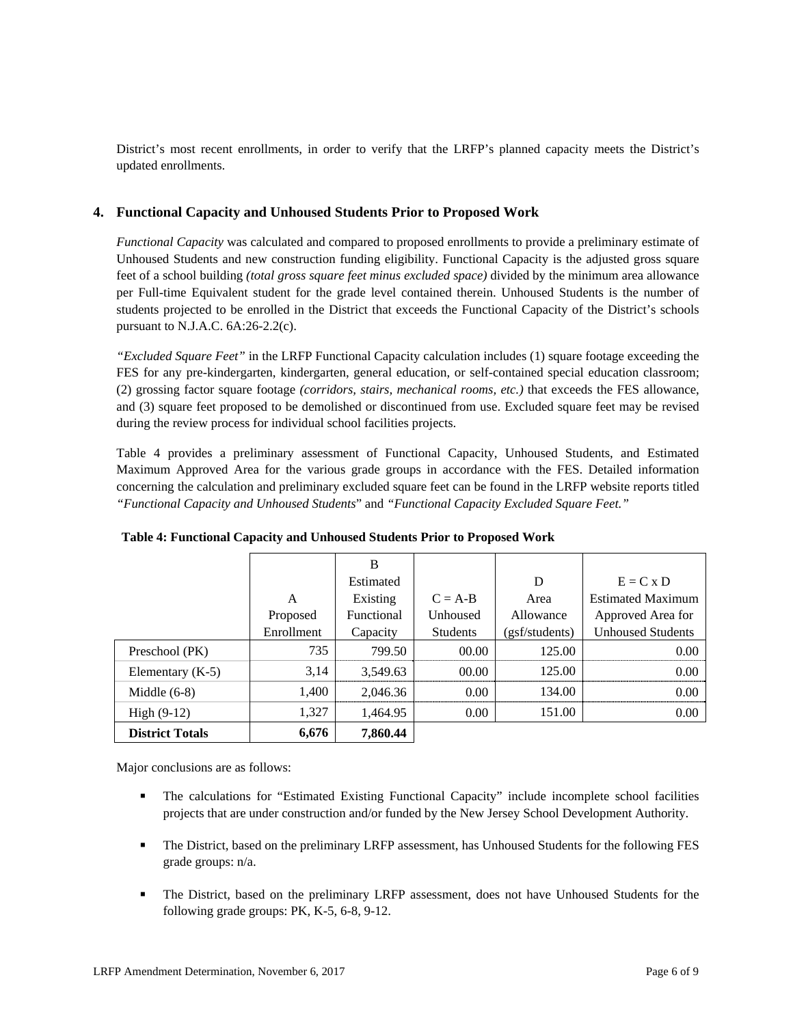District's most recent enrollments, in order to verify that the LRFP's planned capacity meets the District's updated enrollments.

# **4. Functional Capacity and Unhoused Students Prior to Proposed Work**

*Functional Capacity* was calculated and compared to proposed enrollments to provide a preliminary estimate of Unhoused Students and new construction funding eligibility. Functional Capacity is the adjusted gross square feet of a school building *(total gross square feet minus excluded space)* divided by the minimum area allowance per Full-time Equivalent student for the grade level contained therein. Unhoused Students is the number of students projected to be enrolled in the District that exceeds the Functional Capacity of the District's schools pursuant to N.J.A.C. 6A:26-2.2(c).

*"Excluded Square Feet"* in the LRFP Functional Capacity calculation includes (1) square footage exceeding the FES for any pre-kindergarten, kindergarten, general education, or self-contained special education classroom; (2) grossing factor square footage *(corridors, stairs, mechanical rooms, etc.)* that exceeds the FES allowance, and (3) square feet proposed to be demolished or discontinued from use. Excluded square feet may be revised during the review process for individual school facilities projects.

Table 4 provides a preliminary assessment of Functional Capacity, Unhoused Students, and Estimated Maximum Approved Area for the various grade groups in accordance with the FES. Detailed information concerning the calculation and preliminary excluded square feet can be found in the LRFP website reports titled *"Functional Capacity and Unhoused Students*" and *"Functional Capacity Excluded Square Feet."*

|                        |            | B          |                 |                |                          |
|------------------------|------------|------------|-----------------|----------------|--------------------------|
|                        |            | Estimated  |                 | D              | $E = C x D$              |
|                        | A          | Existing   | $C = A-B$       | Area           | <b>Estimated Maximum</b> |
|                        | Proposed   | Functional | Unhoused        | Allowance      | Approved Area for        |
|                        | Enrollment | Capacity   | <b>Students</b> | (gsf/students) | <b>Unhoused Students</b> |
| Preschool (PK)         | 735        | 799.50     | 00.00           | 125.00         | 0.00                     |
| Elementary $(K-5)$     | 3,14       | 3,549.63   | 00.00           | 125.00         | 0.00                     |
| Middle $(6-8)$         | 1,400      | 2,046.36   | 0.00            | 134.00         | 0.00                     |
| High $(9-12)$          | 1,327      | 1,464.95   | 0.00            | 151.00         | 0.00                     |
| <b>District Totals</b> | 6,676      | 7,860.44   |                 |                |                          |

**Table 4: Functional Capacity and Unhoused Students Prior to Proposed Work** 

Major conclusions are as follows:

- The calculations for "Estimated Existing Functional Capacity" include incomplete school facilities projects that are under construction and/or funded by the New Jersey School Development Authority.
- The District, based on the preliminary LRFP assessment, has Unhoused Students for the following FES grade groups: n/a.
- The District, based on the preliminary LRFP assessment, does not have Unhoused Students for the following grade groups: PK, K-5, 6-8, 9-12.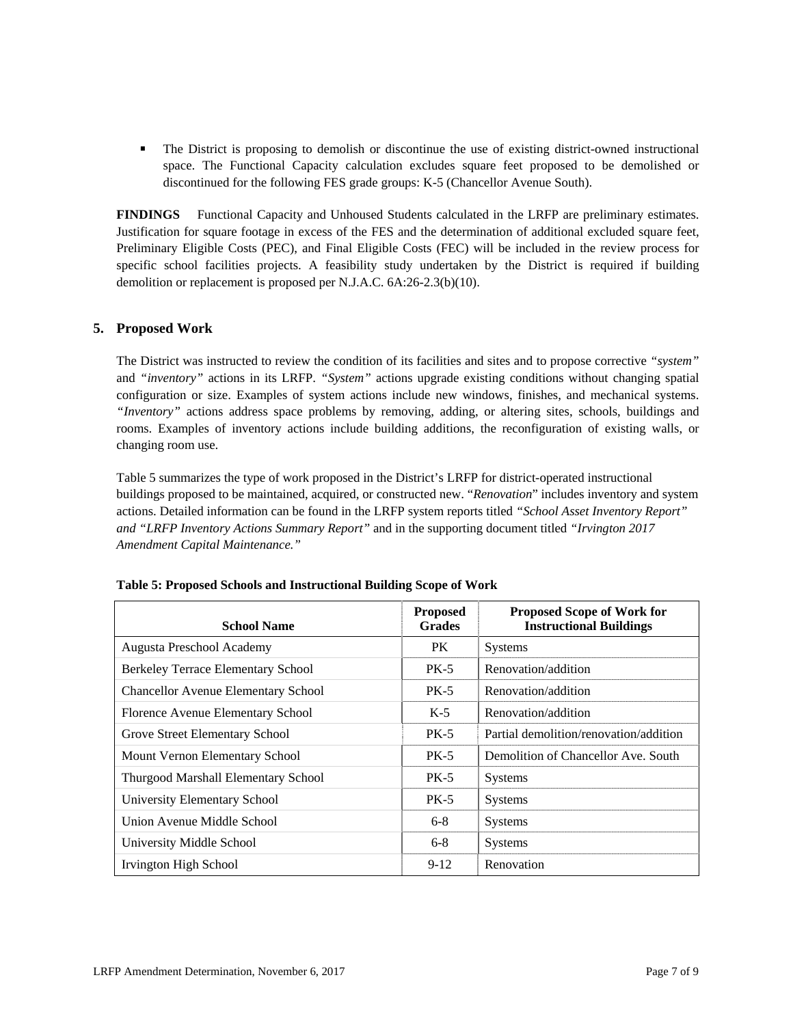The District is proposing to demolish or discontinue the use of existing district-owned instructional space. The Functional Capacity calculation excludes square feet proposed to be demolished or discontinued for the following FES grade groups: K-5 (Chancellor Avenue South).

**FINDINGS** Functional Capacity and Unhoused Students calculated in the LRFP are preliminary estimates. Justification for square footage in excess of the FES and the determination of additional excluded square feet, Preliminary Eligible Costs (PEC), and Final Eligible Costs (FEC) will be included in the review process for specific school facilities projects. A feasibility study undertaken by the District is required if building demolition or replacement is proposed per N.J.A.C. 6A:26-2.3(b)(10).

# **5. Proposed Work**

The District was instructed to review the condition of its facilities and sites and to propose corrective *"system"* and *"inventory"* actions in its LRFP. *"System"* actions upgrade existing conditions without changing spatial configuration or size. Examples of system actions include new windows, finishes, and mechanical systems. *"Inventory"* actions address space problems by removing, adding, or altering sites, schools, buildings and rooms. Examples of inventory actions include building additions, the reconfiguration of existing walls, or changing room use.

Table 5 summarizes the type of work proposed in the District's LRFP for district-operated instructional buildings proposed to be maintained, acquired, or constructed new. "*Renovation*" includes inventory and system actions. Detailed information can be found in the LRFP system reports titled *"School Asset Inventory Report" and "LRFP Inventory Actions Summary Report"* and in the supporting document titled *"Irvington 2017 Amendment Capital Maintenance."*

| <b>School Name</b>                         | <b>Proposed</b><br><b>Grades</b> | <b>Proposed Scope of Work for</b><br><b>Instructional Buildings</b> |
|--------------------------------------------|----------------------------------|---------------------------------------------------------------------|
| Augusta Preschool Academy                  | PK.                              | <b>Systems</b>                                                      |
| Berkeley Terrace Elementary School         | <b>PK-5</b>                      | Renovation/addition                                                 |
| <b>Chancellor Avenue Elementary School</b> | $PK-5$                           | Renovation/addition                                                 |
| Florence Avenue Elementary School          | $K-5$                            | Renovation/addition                                                 |
| Grove Street Elementary School             | $PK-5$                           | Partial demolition/renovation/addition                              |
| Mount Vernon Elementary School             | $PK-5$                           | Demolition of Chancellor Ave. South                                 |
| Thurgood Marshall Elementary School        | <b>PK-5</b>                      | <b>Systems</b>                                                      |
| University Elementary School               | $PK-5$                           | <b>Systems</b>                                                      |
| Union Avenue Middle School                 | $6 - 8$                          | <b>Systems</b>                                                      |
| University Middle School                   | $6 - 8$                          | <b>Systems</b>                                                      |
| <b>Irvington High School</b>               | $9 - 12$                         | Renovation                                                          |

| Table 5: Proposed Schools and Instructional Building Scope of Work |  |  |
|--------------------------------------------------------------------|--|--|
|                                                                    |  |  |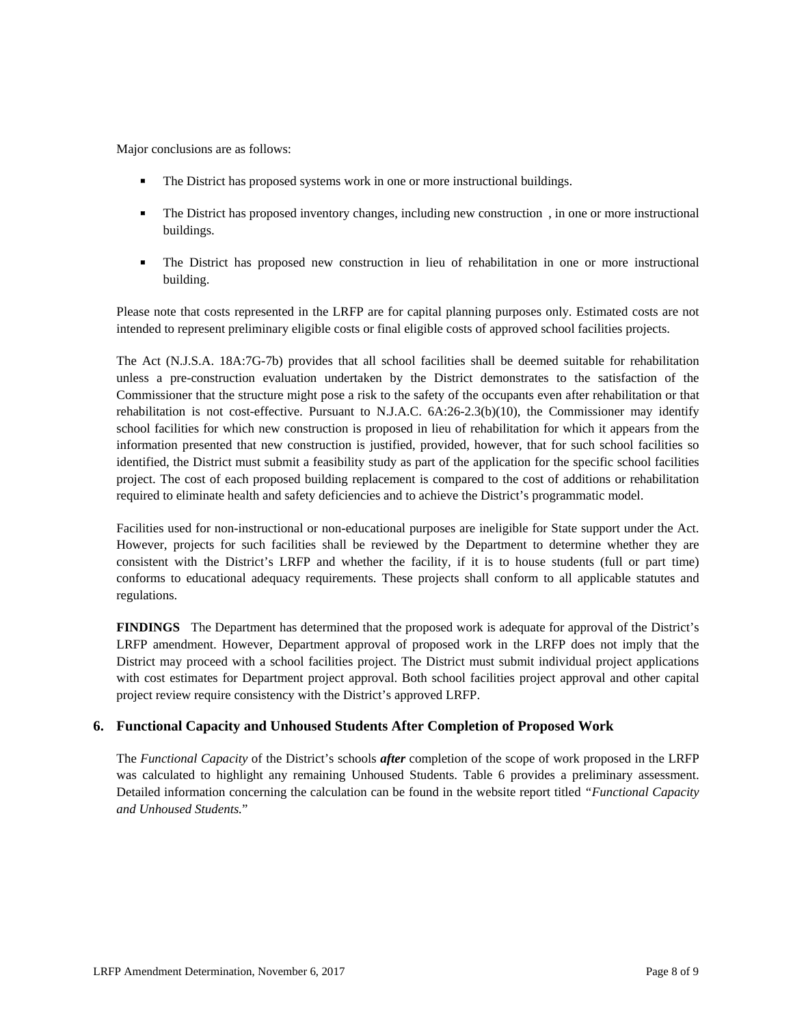Major conclusions are as follows:

- The District has proposed systems work in one or more instructional buildings.
- The District has proposed inventory changes, including new construction , in one or more instructional buildings.
- The District has proposed new construction in lieu of rehabilitation in one or more instructional building.

Please note that costs represented in the LRFP are for capital planning purposes only. Estimated costs are not intended to represent preliminary eligible costs or final eligible costs of approved school facilities projects.

The Act (N.J.S.A. 18A:7G-7b) provides that all school facilities shall be deemed suitable for rehabilitation unless a pre-construction evaluation undertaken by the District demonstrates to the satisfaction of the Commissioner that the structure might pose a risk to the safety of the occupants even after rehabilitation or that rehabilitation is not cost-effective. Pursuant to N.J.A.C. 6A:26-2.3(b)(10), the Commissioner may identify school facilities for which new construction is proposed in lieu of rehabilitation for which it appears from the information presented that new construction is justified, provided, however, that for such school facilities so identified, the District must submit a feasibility study as part of the application for the specific school facilities project. The cost of each proposed building replacement is compared to the cost of additions or rehabilitation required to eliminate health and safety deficiencies and to achieve the District's programmatic model.

Facilities used for non-instructional or non-educational purposes are ineligible for State support under the Act. However, projects for such facilities shall be reviewed by the Department to determine whether they are consistent with the District's LRFP and whether the facility, if it is to house students (full or part time) conforms to educational adequacy requirements. These projects shall conform to all applicable statutes and regulations.

**FINDINGS** The Department has determined that the proposed work is adequate for approval of the District's LRFP amendment. However, Department approval of proposed work in the LRFP does not imply that the District may proceed with a school facilities project. The District must submit individual project applications with cost estimates for Department project approval. Both school facilities project approval and other capital project review require consistency with the District's approved LRFP.

# **6. Functional Capacity and Unhoused Students After Completion of Proposed Work**

The *Functional Capacity* of the District's schools *after* completion of the scope of work proposed in the LRFP was calculated to highlight any remaining Unhoused Students. Table 6 provides a preliminary assessment. Detailed information concerning the calculation can be found in the website report titled *"Functional Capacity and Unhoused Students.*"